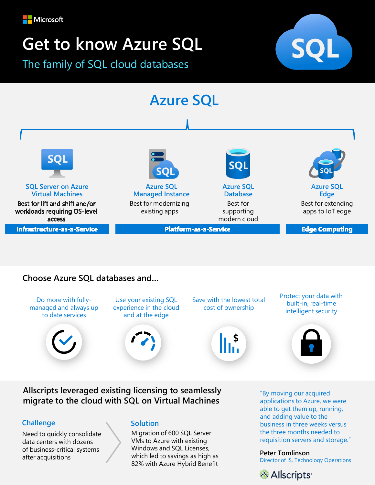

# **Get to know Azure SQL**

The family of SQL cloud databases







# **Choose Azure SQL databases and…**

Do more with fullymanaged and always up to date services



Use your existing SQL experience in the cloud and at the edge



Save with the lowest total cost of ownership

Protect your data with built-in, real-time intelligent security



**Allscripts leveraged existing licensing to seamlessly migrate to the cloud with SQL on Virtual Machines** 

## **Challenge**

Need to quickly consolidate data centers with dozens of business-critical systems after acquisitions

#### **Solution**

Migration of 600 SQL Server VMs to Azure with existing Windows and SQL Licenses, which led to savings as high as 82% with Azure Hybrid Benefit

"By moving our acquired applications to Azure, we were able to get them up, running, and adding value to the business in three weeks versus the three months needed to requisition servers and storage."

#### **Peter Tomlinson**

Director of IS, Technology Operations